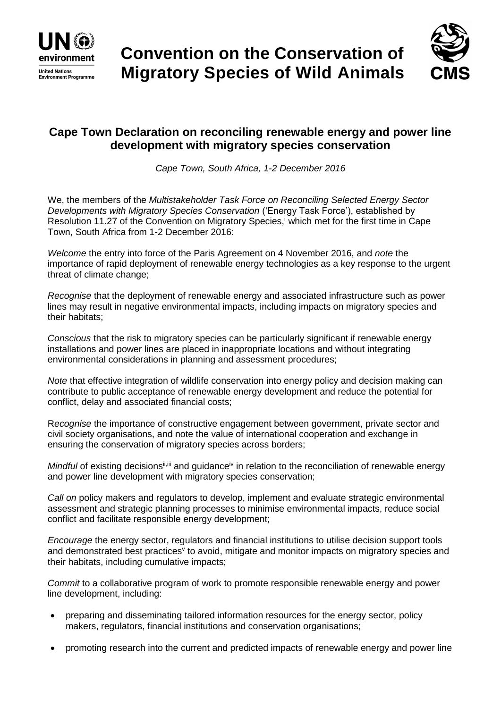



## **Cape Town Declaration on reconciling renewable energy and power line development with migratory species conservation**

*Cape Town, South Africa, 1-2 December 2016*

We, the members of the *Multistakeholder Task Force on Reconciling Selected Energy Sector Developments with Migratory Species Conservation* ('Energy Task Force'), established by Resolution 11.27 of the Convention on Migratory Species,<sup>i</sup> which met for the first time in Cape Town, South Africa from 1-2 December 2016:

*Welcome* the entry into force of the Paris Agreement on 4 November 2016, and *note* the importance of rapid deployment of renewable energy technologies as a key response to the urgent threat of climate change;

*Recognise* that the deployment of renewable energy and associated infrastructure such as power lines may result in negative environmental impacts, including impacts on migratory species and their habitats;

*Conscious* that the risk to migratory species can be particularly significant if renewable energy installations and power lines are placed in inappropriate locations and without integrating environmental considerations in planning and assessment procedures;

*Note* that effective integration of wildlife conservation into energy policy and decision making can contribute to public acceptance of renewable energy development and reduce the potential for conflict, delay and associated financial costs;

R*ecognise* the importance of constructive engagement between government, private sector and civil society organisations, and note the value of international cooperation and exchange in ensuring the conservation of migratory species across borders;

*Mindful* of existing decisions<sup>ii,iii</sup> and guidance<sup>iv</sup> in relation to the reconciliation of renewable energy and power line development with migratory species conservation;

*Call on* policy makers and regulators to develop, implement and evaluate strategic environmental assessment and strategic planning processes to minimise environmental impacts, reduce social conflict and facilitate responsible energy development;

*Encourage* the energy sector, regulators and financial institutions to utilise decision support tools and demonstrated best practices<sup>v</sup> to avoid, mitigate and monitor impacts on migratory species and their habitats, including cumulative impacts;

*Commit* to a collaborative program of work to promote responsible renewable energy and power line development, including:

- preparing and disseminating tailored information resources for the energy sector, policy makers, regulators, financial institutions and conservation organisations;
- promoting research into the current and predicted impacts of renewable energy and power line